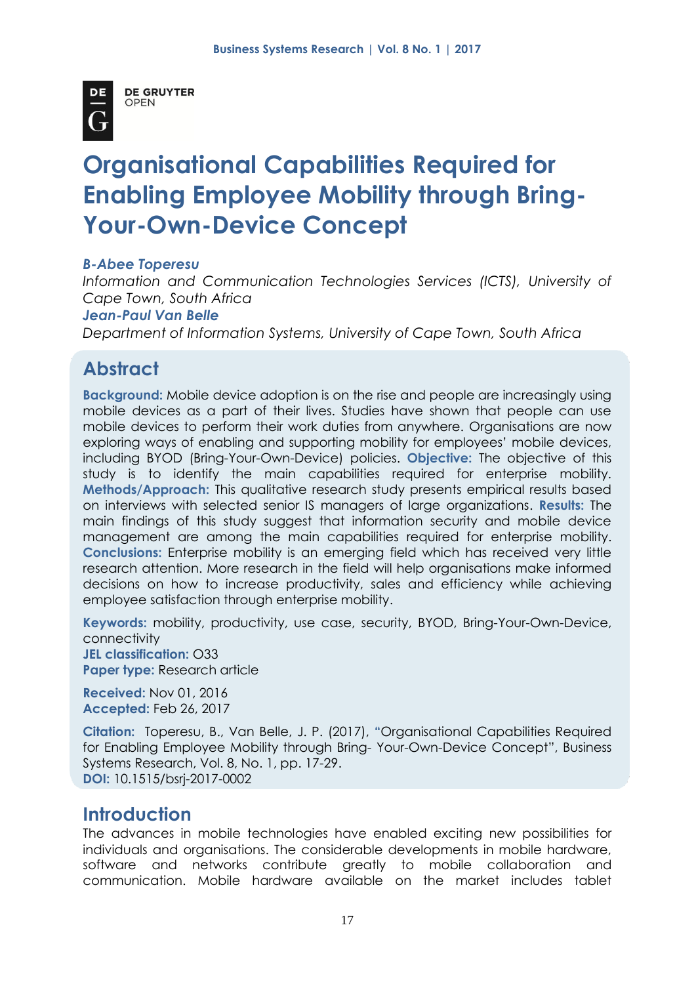

**DE GRUYTER OPEN** 

# **Organisational Capabilities Required for Enabling Employee Mobility through Bring-Your-Own-Device Concept**

#### *B-Abee Toperesu*

*Information and Communication Technologies Services (ICTS), University of Cape Town, South Africa*

#### *Jean-Paul Van Belle*

*Department of Information Systems, University of Cape Town, South Africa*

# **Abstract**

**Background:** Mobile device adoption is on the rise and people are increasingly using mobile devices as a part of their lives. Studies have shown that people can use mobile devices to perform their work duties from anywhere. Organisations are now exploring ways of enabling and supporting mobility for employees' mobile devices, including BYOD (Bring-Your-Own-Device) policies. **Objective:** The objective of this study is to identify the main capabilities required for enterprise mobility. **Methods/Approach:** This qualitative research study presents empirical results based on interviews with selected senior IS managers of large organizations. **Results:** The main findings of this study suggest that information security and mobile device management are among the main capabilities required for enterprise mobility. **Conclusions:** Enterprise mobility is an emerging field which has received very little research attention. More research in the field will help organisations make informed decisions on how to increase productivity, sales and efficiency while achieving employee satisfaction through enterprise mobility.

**Keywords:** mobility, productivity, use case, security, BYOD, Bring-Your-Own-Device, connectivity **JEL classification:** O33 **Paper type:** Research article

**Received:** Nov 01, 2016 **Accepted:** Feb 26, 2017

**Citation:** Toperesu, B., Van Belle, J. P. (2017), **"**Organisational Capabilities Required for Enabling Employee Mobility through Bring- Your-Own-Device Concept", Business Systems Research, Vol. 8, No. 1, pp. 17-29. **DOI:** 10.1515/bsrj-2017-0002

# **Introduction**

The advances in mobile technologies have enabled exciting new possibilities for individuals and organisations. The considerable developments in mobile hardware, software and networks contribute greatly to mobile collaboration and communication. Mobile hardware available on the market includes tablet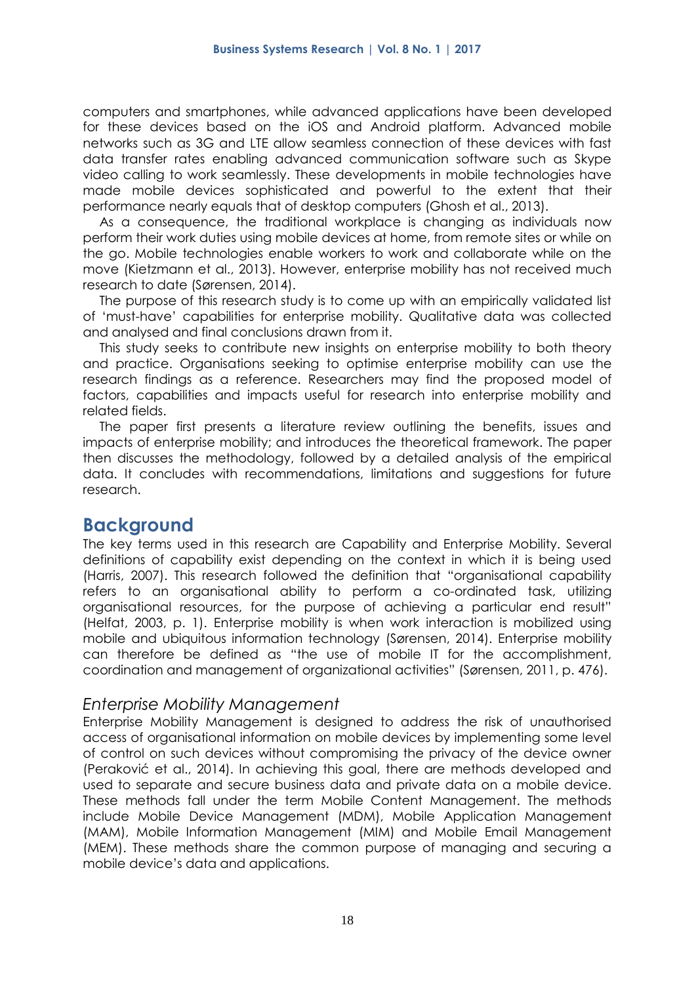computers and smartphones, while advanced applications have been developed for these devices based on the iOS and Android platform. Advanced mobile networks such as 3G and LTE allow seamless connection of these devices with fast data transfer rates enabling advanced communication software such as Skype video calling to work seamlessly. These developments in mobile technologies have made mobile devices sophisticated and powerful to the extent that their performance nearly equals that of desktop computers (Ghosh et al., 2013).

As a consequence, the traditional workplace is changing as individuals now perform their work duties using mobile devices at home, from remote sites or while on the go. Mobile technologies enable workers to work and collaborate while on the move (Kietzmann et al., 2013). However, enterprise mobility has not received much research to date (Sørensen, 2014).

The purpose of this research study is to come up with an empirically validated list of 'must-have' capabilities for enterprise mobility. Qualitative data was collected and analysed and final conclusions drawn from it.

This study seeks to contribute new insights on enterprise mobility to both theory and practice. Organisations seeking to optimise enterprise mobility can use the research findings as a reference. Researchers may find the proposed model of factors, capabilities and impacts useful for research into enterprise mobility and related fields.

The paper first presents a literature review outlining the benefits, issues and impacts of enterprise mobility; and introduces the theoretical framework. The paper then discusses the methodology, followed by a detailed analysis of the empirical data. It concludes with recommendations, limitations and suggestions for future research.

# **Background**

The key terms used in this research are Capability and Enterprise Mobility. Several definitions of capability exist depending on the context in which it is being used (Harris, 2007). This research followed the definition that "organisational capability refers to an organisational ability to perform a co-ordinated task, utilizing organisational resources, for the purpose of achieving a particular end result" (Helfat, 2003, p. 1). Enterprise mobility is when work interaction is mobilized using mobile and ubiquitous information technology (Sørensen, 2014). Enterprise mobility can therefore be defined as "the use of mobile IT for the accomplishment, coordination and management of organizational activities" (Sørensen, 2011, p. 476).

### *Enterprise Mobility Management*

Enterprise Mobility Management is designed to address the risk of unauthorised access of organisational information on mobile devices by implementing some level of control on such devices without compromising the privacy of the device owner (Peraković et al., 2014). In achieving this goal, there are methods developed and used to separate and secure business data and private data on a mobile device. These methods fall under the term Mobile Content Management. The methods include Mobile Device Management (MDM), Mobile Application Management (MAM), Mobile Information Management (MIM) and Mobile Email Management (MEM). These methods share the common purpose of managing and securing a mobile device's data and applications.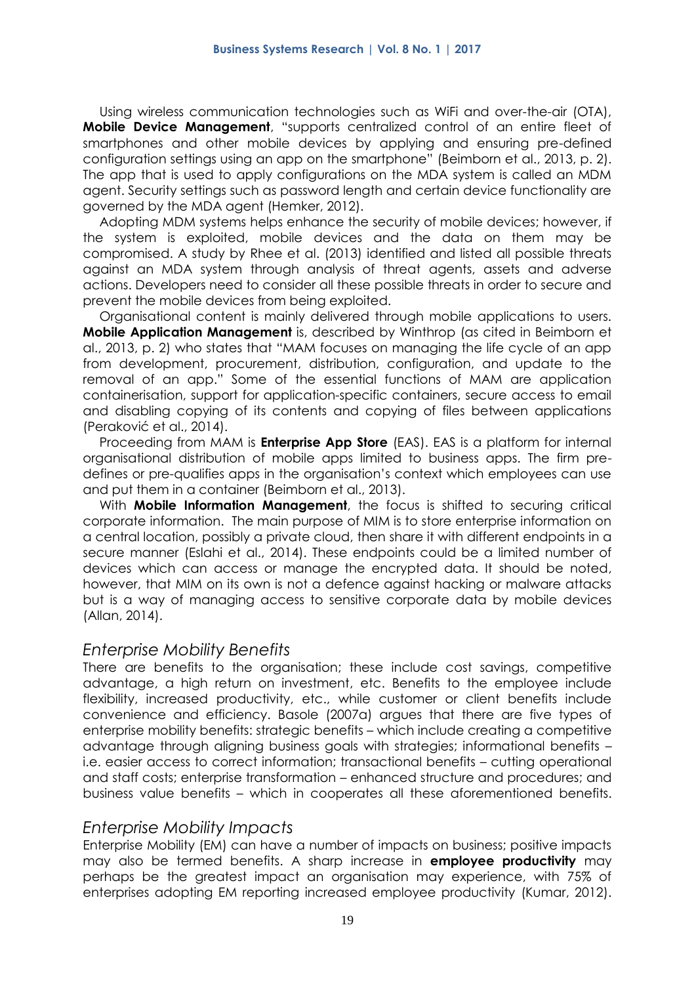Using wireless communication technologies such as WiFi and over-the-air (OTA), **Mobile Device Management**, "supports centralized control of an entire fleet of smartphones and other mobile devices by applying and ensuring pre-defined configuration settings using an app on the smartphone" (Beimborn et al., 2013, p. 2). The app that is used to apply configurations on the MDA system is called an MDM agent. Security settings such as password length and certain device functionality are governed by the MDA agent (Hemker, 2012).

Adopting MDM systems helps enhance the security of mobile devices; however, if the system is exploited, mobile devices and the data on them may be compromised. A study by Rhee et al. (2013) identified and listed all possible threats against an MDA system through analysis of threat agents, assets and adverse actions. Developers need to consider all these possible threats in order to secure and prevent the mobile devices from being exploited.

Organisational content is mainly delivered through mobile applications to users. **Mobile Application Management** is, described by Winthrop (as cited in Beimborn et al., 2013, p. 2) who states that "MAM focuses on managing the life cycle of an app from development, procurement, distribution, configuration, and update to the removal of an app." Some of the essential functions of MAM are application containerisation, support for application-specific containers, secure access to email and disabling copying of its contents and copying of files between applications (Peraković et al., 2014).

Proceeding from MAM is **Enterprise App Store** (EAS). EAS is a platform for internal organisational distribution of mobile apps limited to business apps. The firm predefines or pre-qualifies apps in the organisation's context which employees can use and put them in a container (Beimborn et al., 2013).

With **Mobile Information Management**, the focus is shifted to securing critical corporate information. The main purpose of MIM is to store enterprise information on a central location, possibly a private cloud, then share it with different endpoints in a secure manner (Eslahi et al., 2014). These endpoints could be a limited number of devices which can access or manage the encrypted data. It should be noted, however, that MIM on its own is not a defence against hacking or malware attacks but is a way of managing access to sensitive corporate data by mobile devices (Allan, 2014).

### *Enterprise Mobility Benefits*

There are benefits to the organisation; these include cost savings, competitive advantage, a high return on investment, etc. Benefits to the employee include flexibility, increased productivity, etc., while customer or client benefits include convenience and efficiency. Basole (2007a) argues that there are five types of enterprise mobility benefits: strategic benefits – which include creating a competitive advantage through aligning business goals with strategies; informational benefits – i.e. easier access to correct information; transactional benefits – cutting operational and staff costs; enterprise transformation – enhanced structure and procedures; and business value benefits – which in cooperates all these aforementioned benefits.

### *Enterprise Mobility Impacts*

Enterprise Mobility (EM) can have a number of impacts on business; positive impacts may also be termed benefits. A sharp increase in **employee productivity** may perhaps be the greatest impact an organisation may experience, with 75% of enterprises adopting EM reporting increased employee productivity (Kumar, 2012).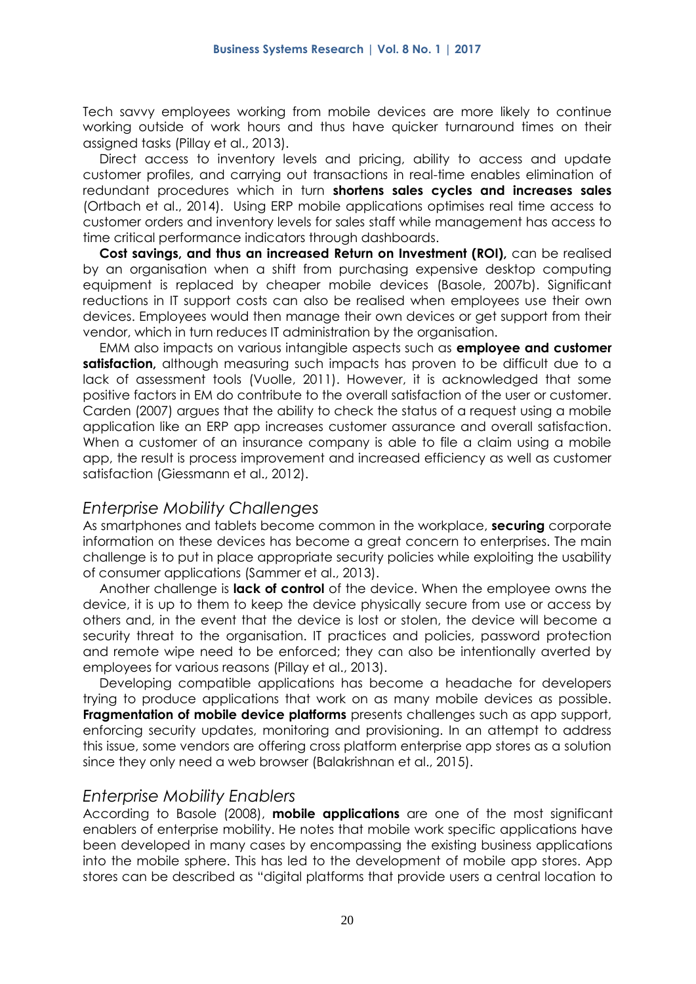Tech savvy employees working from mobile devices are more likely to continue working outside of work hours and thus have quicker turnaround times on their assigned tasks (Pillay et al., 2013).

Direct access to inventory levels and pricing, ability to access and update customer profiles, and carrying out transactions in real-time enables elimination of redundant procedures which in turn **shortens sales cycles and increases sales** (Ortbach et al., 2014). Using ERP mobile applications optimises real time access to customer orders and inventory levels for sales staff while management has access to time critical performance indicators through dashboards.

**Cost savings, and thus an increased Return on Investment (ROI),** can be realised by an organisation when a shift from purchasing expensive desktop computing equipment is replaced by cheaper mobile devices (Basole, 2007b). Significant reductions in IT support costs can also be realised when employees use their own devices. Employees would then manage their own devices or get support from their vendor, which in turn reduces IT administration by the organisation.

EMM also impacts on various intangible aspects such as **employee and customer satisfaction,** although measuring such impacts has proven to be difficult due to a lack of assessment tools (Vuolle, 2011). However, it is acknowledged that some positive factors in EM do contribute to the overall satisfaction of the user or customer. Carden (2007) argues that the ability to check the status of a request using a mobile application like an ERP app increases customer assurance and overall satisfaction. When a customer of an insurance company is able to file a claim using a mobile app, the result is process improvement and increased efficiency as well as customer satisfaction (Giessmann et al., 2012).

### *Enterprise Mobility Challenges*

As smartphones and tablets become common in the workplace, **securing** corporate information on these devices has become a great concern to enterprises. The main challenge is to put in place appropriate security policies while exploiting the usability of consumer applications (Sammer et al., 2013).

Another challenge is **lack of control** of the device. When the employee owns the device, it is up to them to keep the device physically secure from use or access by others and, in the event that the device is lost or stolen, the device will become a security threat to the organisation. IT practices and policies, password protection and remote wipe need to be enforced; they can also be intentionally averted by employees for various reasons (Pillay et al., 2013).

Developing compatible applications has become a headache for developers trying to produce applications that work on as many mobile devices as possible. **Fragmentation of mobile device platforms** presents challenges such as app support, enforcing security updates, monitoring and provisioning. In an attempt to address this issue, some vendors are offering cross platform enterprise app stores as a solution since they only need a web browser (Balakrishnan et al., 2015).

### *Enterprise Mobility Enablers*

According to Basole (2008), **mobile applications** are one of the most significant enablers of enterprise mobility. He notes that mobile work specific applications have been developed in many cases by encompassing the existing business applications into the mobile sphere. This has led to the development of mobile app stores. App stores can be described as "digital platforms that provide users a central location to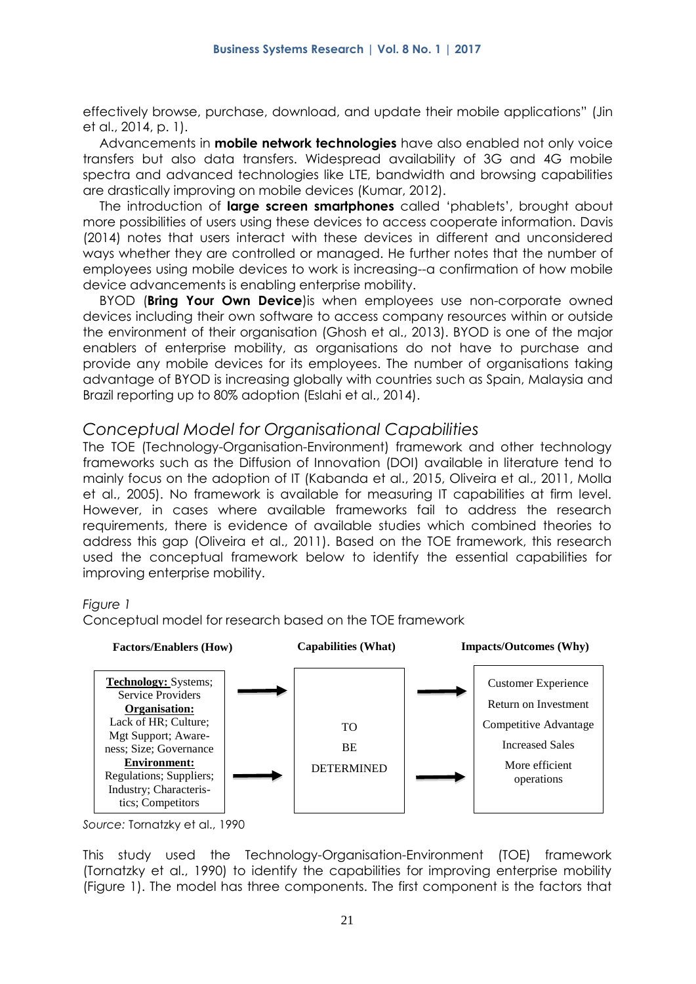effectively browse, purchase, download, and update their mobile applications" (Jin et al., 2014, p. 1).

Advancements in **mobile network technologies** have also enabled not only voice transfers but also data transfers. Widespread availability of 3G and 4G mobile spectra and advanced technologies like LTE, bandwidth and browsing capabilities are drastically improving on mobile devices (Kumar, 2012).

The introduction of **large screen smartphones** called 'phablets', brought about more possibilities of users using these devices to access cooperate information. Davis (2014) notes that users interact with these devices in different and unconsidered ways whether they are controlled or managed. He further notes that the number of employees using mobile devices to work is increasing--a confirmation of how mobile device advancements is enabling enterprise mobility.

BYOD (**Bring Your Own Device**)is when employees use non-corporate owned devices including their own software to access company resources within or outside the environment of their organisation (Ghosh et al., 2013). BYOD is one of the major enablers of enterprise mobility, as organisations do not have to purchase and provide any mobile devices for its employees. The number of organisations taking advantage of BYOD is increasing globally with countries such as Spain, Malaysia and Brazil reporting up to 80% adoption (Eslahi et al., 2014).

### *Conceptual Model for Organisational Capabilities*

The TOE (Technology-Organisation-Environment) framework and other technology frameworks such as the Diffusion of Innovation (DOI) available in literature tend to mainly focus on the adoption of IT (Kabanda et al., 2015, Oliveira et al., 2011, Molla et al., 2005). No framework is available for measuring IT capabilities at firm level. However, in cases where available frameworks fail to address the research requirements, there is evidence of available studies which combined theories to address this gap (Oliveira et al., 2011). Based on the TOE framework, this research used the conceptual framework below to identify the essential capabilities for improving enterprise mobility.

#### *Figure 1*

Conceptual model for research based on the TOE framework



*Source:* Tornatzky et al., 1990

This study used the Technology-Organisation-Environment (TOE) framework (Tornatzky et al., 1990) to identify the capabilities for improving enterprise mobility (Figure 1). The model has three components. The first component is the factors that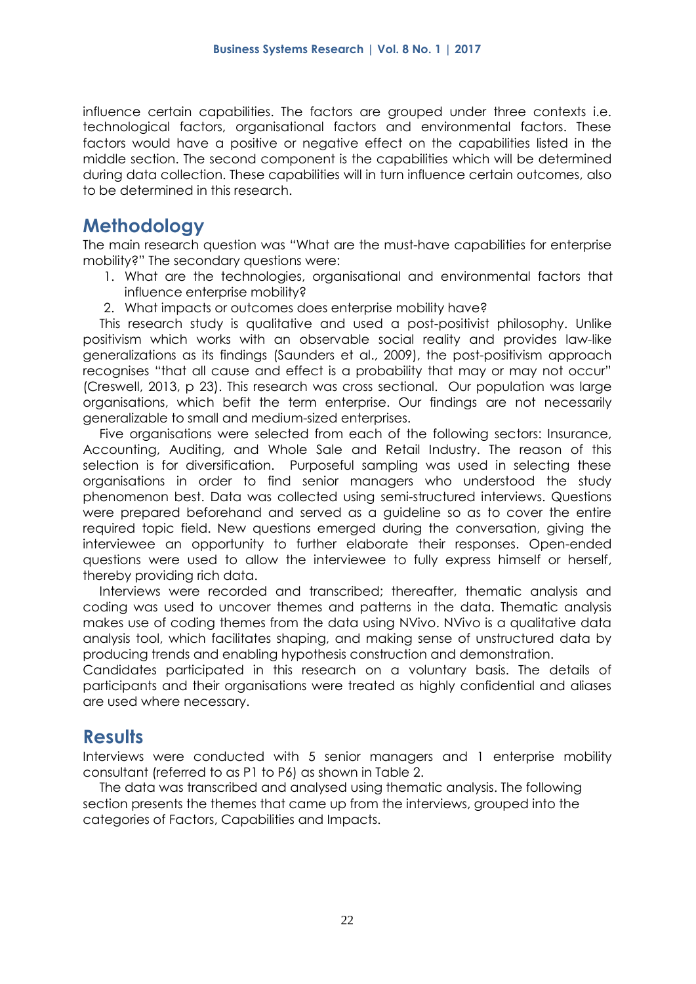influence certain capabilities. The factors are grouped under three contexts i.e. technological factors, organisational factors and environmental factors. These factors would have a positive or negative effect on the capabilities listed in the middle section. The second component is the capabilities which will be determined during data collection. These capabilities will in turn influence certain outcomes, also to be determined in this research.

# **Methodology**

The main research question was "What are the must-have capabilities for enterprise mobility?" The secondary questions were:

- 1. What are the technologies, organisational and environmental factors that influence enterprise mobility?
- 2. What impacts or outcomes does enterprise mobility have?

This research study is qualitative and used a post-positivist philosophy. Unlike positivism which works with an observable social reality and provides law-like generalizations as its findings (Saunders et al., 2009), the post-positivism approach recognises "that all cause and effect is a probability that may or may not occur" (Creswell, 2013, p 23). This research was cross sectional. Our population was large organisations, which befit the term enterprise. Our findings are not necessarily generalizable to small and medium-sized enterprises.

Five organisations were selected from each of the following sectors: Insurance, Accounting, Auditing, and Whole Sale and Retail Industry. The reason of this selection is for diversification. Purposeful sampling was used in selecting these organisations in order to find senior managers who understood the study phenomenon best. Data was collected using semi-structured interviews. Questions were prepared beforehand and served as a guideline so as to cover the entire required topic field. New questions emerged during the conversation, giving the interviewee an opportunity to further elaborate their responses. Open-ended questions were used to allow the interviewee to fully express himself or herself, thereby providing rich data.

Interviews were recorded and transcribed; thereafter, thematic analysis and coding was used to uncover themes and patterns in the data. Thematic analysis makes use of coding themes from the data using NVivo. NVivo is a qualitative data analysis tool, which facilitates shaping, and making sense of unstructured data by producing trends and enabling hypothesis construction and demonstration.

Candidates participated in this research on a voluntary basis. The details of participants and their organisations were treated as highly confidential and aliases are used where necessary.

# **Results**

Interviews were conducted with 5 senior managers and 1 enterprise mobility consultant (referred to as P1 to P6) as shown in Table 2.

The data was transcribed and analysed using thematic analysis. The following section presents the themes that came up from the interviews, grouped into the categories of Factors, Capabilities and Impacts.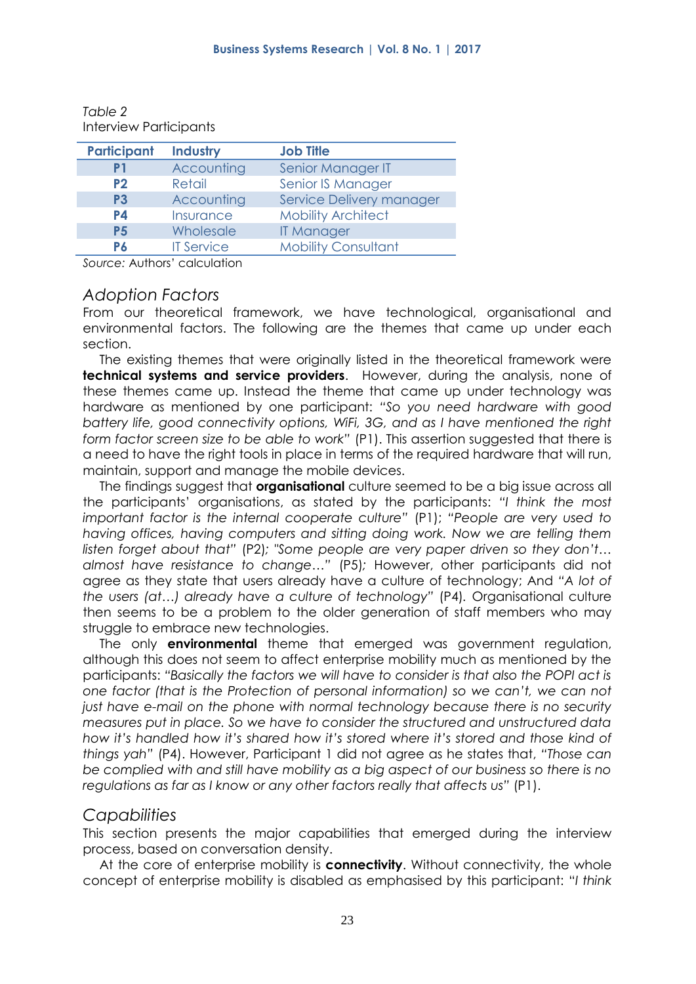| <b>Participant</b> | <b>Industry</b>   | <b>Job Title</b>           |
|--------------------|-------------------|----------------------------|
| P1                 | Accounting        | Senior Manager IT          |
| <b>P2</b>          | Retail            | Senior IS Manager          |
| P <sub>3</sub>     | Accounting        | Service Delivery manager   |
| P4                 | Insurance         | <b>Mobility Architect</b>  |
| <b>P5</b>          | Wholesale         | <b>IT Manager</b>          |
| P6                 | <b>IT Service</b> | <b>Mobility Consultant</b> |

*Table 2* Interview Participants

*Source:* Authors' calculation

### *Adoption Factors*

From our theoretical framework, we have technological, organisational and environmental factors. The following are the themes that came up under each section.

The existing themes that were originally listed in the theoretical framework were **technical systems and service providers**. However, during the analysis, none of these themes came up. Instead the theme that came up under technology was hardware as mentioned by one participant: *"So you need hardware with good battery life, good connectivity options, WiFi, 3G, and as I have mentioned the right form factor screen size to be able to work"* (P1). This assertion suggested that there is a need to have the right tools in place in terms of the required hardware that will run, maintain, support and manage the mobile devices.

The findings suggest that **organisational** culture seemed to be a big issue across all the participants' organisations, as stated by the participants: *"I think the most important factor is the internal cooperate culture"* (P1); *"People are very used to having offices, having computers and sitting doing work. Now we are telling them listen forget about that"* (P2)*; "Some people are very paper driven so they don't… almost have resistance to change…"* (P5)*;* However, other participants did not agree as they state that users already have a culture of technology; And *"A lot of the users (at…) already have a culture of technology"* (P4)*.* Organisational culture then seems to be a problem to the older generation of staff members who may struggle to embrace new technologies.

The only **environmental** theme that emerged was government regulation, although this does not seem to affect enterprise mobility much as mentioned by the participants: *"Basically the factors we will have to consider is that also the POPI act is one factor (that is the Protection of personal information) so we can't, we can not*  just have e-mail on the phone with normal technology because there is no security *measures put in place. So we have to consider the structured and unstructured data how it's handled how it's shared how it's stored where it's stored and those kind of things yah"* (P4). However, Participant 1 did not agree as he states that, *"Those can be complied with and still have mobility as a big aspect of our business so there is no regulations as far as I know or any other factors really that affects us" (P1).* 

### *Capabilities*

This section presents the major capabilities that emerged during the interview process, based on conversation density.

At the core of enterprise mobility is **connectivity**. Without connectivity, the whole concept of enterprise mobility is disabled as emphasised by this participant: "*I think*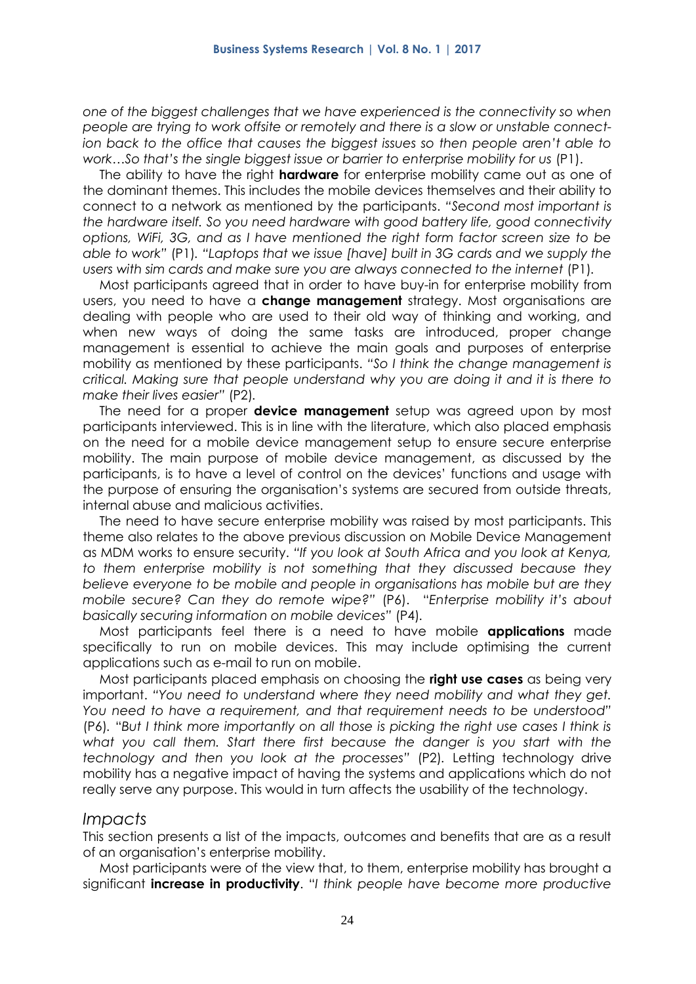*one of the biggest challenges that we have experienced is the connectivity so when people are trying to work offsite or remotely and there is a slow or unstable connection back to the office that causes the biggest issues so then people aren't able to work…So that's the single biggest issue or barrier to enterprise mobility for us (P1).* 

The ability to have the right **hardware** for enterprise mobility came out as one of the dominant themes. This includes the mobile devices themselves and their ability to connect to a network as mentioned by the participants. *"Second most important is the hardware itself. So you need hardware with good battery life, good connectivity options, WiFi, 3G, and as I have mentioned the right form factor screen size to be able to work"* (P1)*. "Laptops that we issue [have] built in 3G cards and we supply the users with sim cards and make sure you are always connected to the internet (P1).* 

Most participants agreed that in order to have buy-in for enterprise mobility from users, you need to have a **change management** strategy. Most organisations are dealing with people who are used to their old way of thinking and working, and when new ways of doing the same tasks are introduced, proper change management is essential to achieve the main goals and purposes of enterprise mobility as mentioned by these participants. *"So I think the change management is critical. Making sure that people understand why you are doing it and it is there to make their lives easier"* (P2)*.*

The need for a proper **device management** setup was agreed upon by most participants interviewed. This is in line with the literature, which also placed emphasis on the need for a mobile device management setup to ensure secure enterprise mobility. The main purpose of mobile device management, as discussed by the participants, is to have a level of control on the devices' functions and usage with the purpose of ensuring the organisation's systems are secured from outside threats, internal abuse and malicious activities.

The need to have secure enterprise mobility was raised by most participants. This theme also relates to the above previous discussion on Mobile Device Management as MDM works to ensure security. *"If you look at South Africa and you look at Kenya, to them enterprise mobility is not something that they discussed because they believe everyone to be mobile and people in organisations has mobile but are they mobile secure? Can they do remote wipe?"* (P6). "*Enterprise mobility it's about basically securing information on mobile devices"* (P4)*.* 

Most participants feel there is a need to have mobile **applications** made specifically to run on mobile devices. This may include optimising the current applications such as e-mail to run on mobile.

Most participants placed emphasis on choosing the **right use cases** as being very important. *"You need to understand where they need mobility and what they get. You need to have a requirement, and that requirement needs to be understood"*  (P6)*.* "*But I think more importantly on all those is picking the right use cases I think is*  what you call them. Start there first because the danger is you start with the *technology and then you look at the processes"* (P2)*.* Letting technology drive mobility has a negative impact of having the systems and applications which do not really serve any purpose. This would in turn affects the usability of the technology.

#### *Impacts*

This section presents a list of the impacts, outcomes and benefits that are as a result of an organisation's enterprise mobility.

Most participants were of the view that, to them, enterprise mobility has brought a significant **increase in productivity**. "*I think people have become more productive*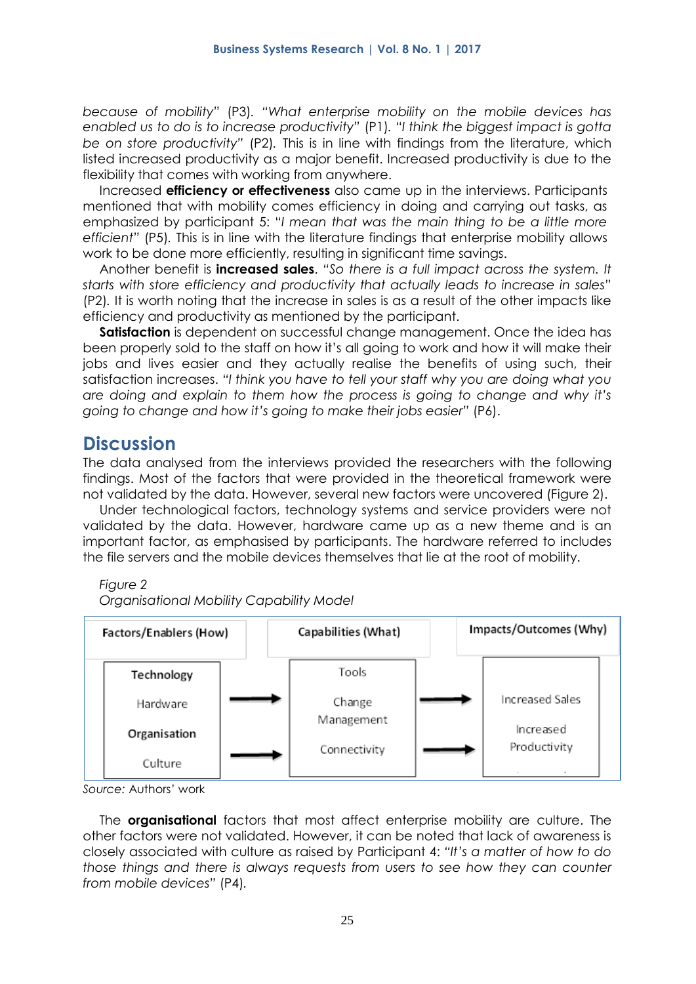*because of mobility"* (P3)*. "What enterprise mobility on the mobile devices has enabled us to do is to increase productivity"* (P1)*.* "*I think the biggest impact is gotta be on store productivity"* (P2)*.* This is in line with findings from the literature, which listed increased productivity as a major benefit. Increased productivity is due to the flexibility that comes with working from anywhere.

Increased **efficiency or effectiveness** also came up in the interviews. Participants mentioned that with mobility comes efficiency in doing and carrying out tasks, as emphasized by participant 5: "*I mean that was the main thing to be a little more efficient"* (P5)*.* This is in line with the literature findings that enterprise mobility allows work to be done more efficiently, resulting in significant time savings.

Another benefit is **increased sales**. *"So there is a full impact across the system. It starts with store efficiency and productivity that actually leads to increase in sales"*  (P2)*.* It is worth noting that the increase in sales is as a result of the other impacts like efficiency and productivity as mentioned by the participant.

**Satisfaction** is dependent on successful change management. Once the idea has been properly sold to the staff on how it's all going to work and how it will make their jobs and lives easier and they actually realise the benefits of using such, their satisfaction increases. *"I think you have to tell your staff why you are doing what you are doing and explain to them how the process is going to change and why it's going to change and how it's going to make their jobs easier"* (P6).

### **Discussion**

The data analysed from the interviews provided the researchers with the following findings. Most of the factors that were provided in the theoretical framework were not validated by the data. However, several new factors were uncovered (Figure 2).

Under technological factors, technology systems and service providers were not validated by the data. However, hardware came up as a new theme and is an important factor, as emphasised by participants. The hardware referred to includes the file servers and the mobile devices themselves that lie at the root of mobility.

*Figure 2*

*Organisational Mobility Capability Model*



*Source:* Authors' work

The **organisational** factors that most affect enterprise mobility are culture. The other factors were not validated. However, it can be noted that lack of awareness is closely associated with culture as raised by Participant 4: *"It's a matter of how to do those things and there is always requests from users to see how they can counter from mobile devices"* (P4)*.*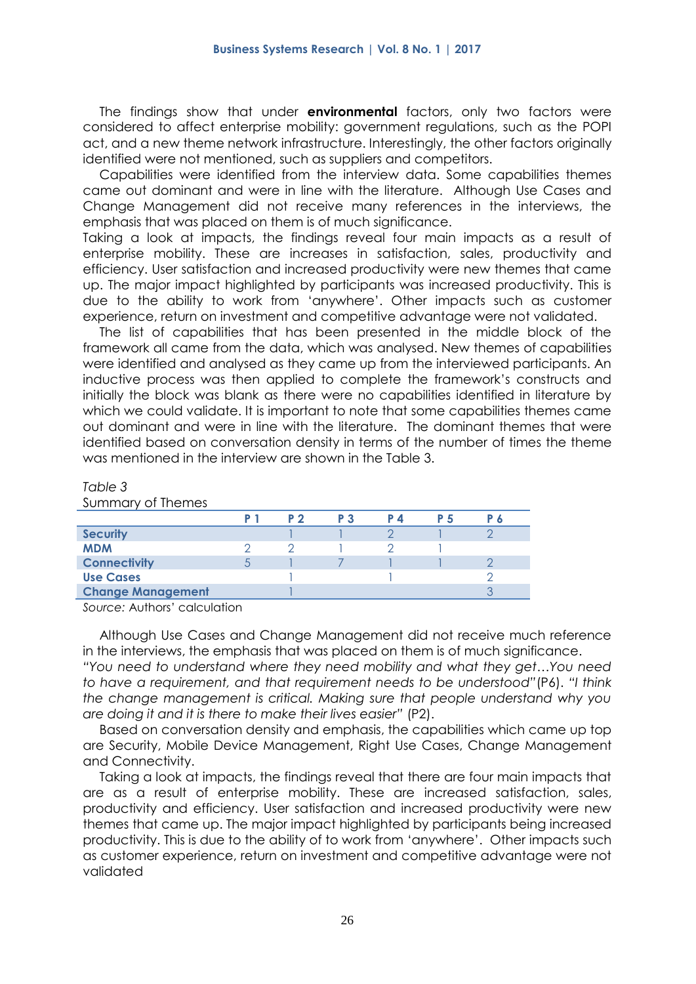The findings show that under **environmental** factors, only two factors were considered to affect enterprise mobility: government regulations, such as the POPI act, and a new theme network infrastructure. Interestingly, the other factors originally identified were not mentioned, such as suppliers and competitors.

Capabilities were identified from the interview data. Some capabilities themes came out dominant and were in line with the literature. Although Use Cases and Change Management did not receive many references in the interviews, the emphasis that was placed on them is of much significance.

Taking a look at impacts, the findings reveal four main impacts as a result of enterprise mobility. These are increases in satisfaction, sales, productivity and efficiency. User satisfaction and increased productivity were new themes that came up. The major impact highlighted by participants was increased productivity. This is due to the ability to work from 'anywhere'. Other impacts such as customer experience, return on investment and competitive advantage were not validated.

The list of capabilities that has been presented in the middle block of the framework all came from the data, which was analysed. New themes of capabilities were identified and analysed as they came up from the interviewed participants. An inductive process was then applied to complete the framework's constructs and initially the block was blank as there were no capabilities identified in literature by which we could validate. It is important to note that some capabilities themes came out dominant and were in line with the literature. The dominant themes that were identified based on conversation density in terms of the number of times the theme was mentioned in the interview are shown in the Table 3.

#### *Table 3*

Summary of Themes

|                          | P 2 | P 3 | P 4 | P 5 | P 6 |
|--------------------------|-----|-----|-----|-----|-----|
| <b>Security</b>          |     |     |     |     |     |
| <b>MDM</b>               |     |     |     |     |     |
| <b>Connectivity</b>      |     |     |     |     |     |
| <b>Use Cases</b>         |     |     |     |     |     |
| <b>Change Management</b> |     |     |     |     |     |

*Source:* Authors' calculation

Although Use Cases and Change Management did not receive much reference in the interviews, the emphasis that was placed on them is of much significance.

*"You need to understand where they need mobility and what they get…You need to have a requirement, and that requirement needs to be understood"*(P6). *"I think the change management is critical. Making sure that people understand why you are doing it and it is there to make their lives easier"* (P2).

Based on conversation density and emphasis, the capabilities which came up top are Security, Mobile Device Management, Right Use Cases, Change Management and Connectivity.

Taking a look at impacts, the findings reveal that there are four main impacts that are as a result of enterprise mobility. These are increased satisfaction, sales, productivity and efficiency. User satisfaction and increased productivity were new themes that came up. The major impact highlighted by participants being increased productivity. This is due to the ability of to work from 'anywhere'. Other impacts such as customer experience, return on investment and competitive advantage were not validated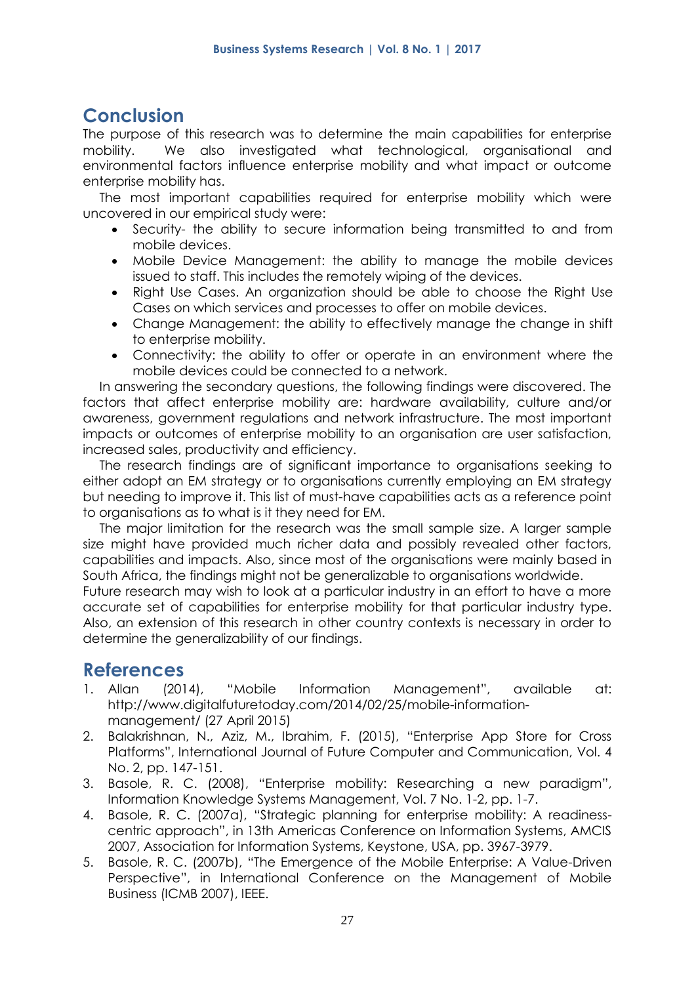# **Conclusion**

The purpose of this research was to determine the main capabilities for enterprise mobility. We also investigated what technological, organisational and environmental factors influence enterprise mobility and what impact or outcome enterprise mobility has.

The most important capabilities required for enterprise mobility which were uncovered in our empirical study were:

- Security- the ability to secure information being transmitted to and from mobile devices.
- Mobile Device Management: the ability to manage the mobile devices issued to staff. This includes the remotely wiping of the devices.
- Right Use Cases. An organization should be able to choose the Right Use Cases on which services and processes to offer on mobile devices.
- Change Management: the ability to effectively manage the change in shift to enterprise mobility.
- Connectivity: the ability to offer or operate in an environment where the mobile devices could be connected to a network.

In answering the secondary questions, the following findings were discovered. The factors that affect enterprise mobility are: hardware availability, culture and/or awareness, government regulations and network infrastructure. The most important impacts or outcomes of enterprise mobility to an organisation are user satisfaction, increased sales, productivity and efficiency.

The research findings are of significant importance to organisations seeking to either adopt an EM strategy or to organisations currently employing an EM strategy but needing to improve it. This list of must-have capabilities acts as a reference point to organisations as to what is it they need for EM.

The major limitation for the research was the small sample size. A larger sample size might have provided much richer data and possibly revealed other factors, capabilities and impacts. Also, since most of the organisations were mainly based in South Africa, the findings might not be generalizable to organisations worldwide.

Future research may wish to look at a particular industry in an effort to have a more accurate set of capabilities for enterprise mobility for that particular industry type. Also, an extension of this research in other country contexts is necessary in order to determine the generalizability of our findings.

# **References**

- 1. Allan (2014), "Mobile Information Management", available at: http://www.digitalfuturetoday.com/2014/02/25/mobile-informationmanagement/ (27 April 2015)
- 2. Balakrishnan, N., Aziz, M., Ibrahim, F. (2015), "Enterprise App Store for Cross Platforms", International Journal of Future Computer and Communication, Vol. 4 No. 2, pp. 147-151.
- 3. Basole, R. C. (2008), "Enterprise mobility: Researching a new paradigm", Information Knowledge Systems Management, Vol. 7 No. 1-2, pp. 1-7.
- 4. Basole, R. C. (2007a), "Strategic planning for enterprise mobility: A readinesscentric approach", in 13th Americas Conference on Information Systems, AMCIS 2007, Association for Information Systems, Keystone, USA, pp. 3967-3979.
- 5. Basole, R. C. (2007b), "The Emergence of the Mobile Enterprise: A Value-Driven Perspective", in International Conference on the Management of Mobile Business (ICMB 2007), IEEE.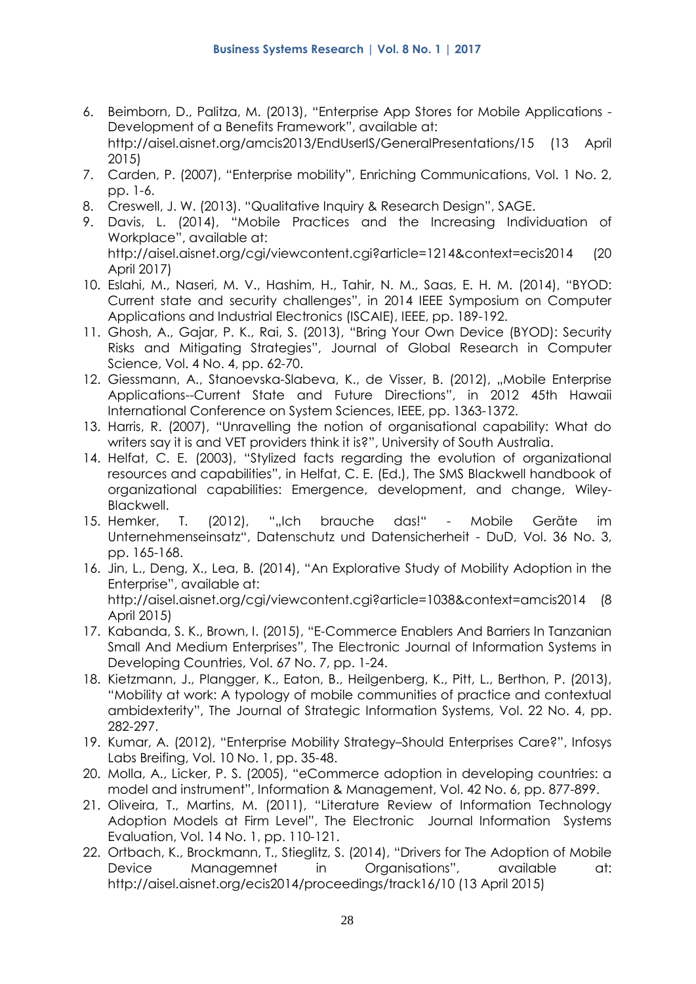- 6. Beimborn, D., Palitza, M. (2013), "Enterprise App Stores for Mobile Applications Development of a Benefits Framework", available at: http://aisel.aisnet.org/amcis2013/EndUserIS/GeneralPresentations/15 (13 April 2015)
- 7. Carden, P. (2007), "Enterprise mobility", Enriching Communications, Vol. 1 No. 2, pp. 1-6.
- 8. Creswell, J. W. (2013). "Qualitative Inquiry & Research Design", SAGE.
- 9. Davis, L. (2014), "Mobile Practices and the Increasing Individuation of Workplace", available at: http://aisel.aisnet.org/cgi/viewcontent.cgi?article=1214&context=ecis2014 (20 April 2017)
- 10. Eslahi, M., Naseri, M. V., Hashim, H., Tahir, N. M., Saas, E. H. M. (2014), "BYOD: Current state and security challenges", in 2014 IEEE Symposium on Computer Applications and Industrial Electronics (ISCAIE), IEEE, pp. 189-192.
- 11. Ghosh, A., Gajar, P. K., Rai, S. (2013), "Bring Your Own Device (BYOD): Security Risks and Mitigating Strategies", Journal of Global Research in Computer Science, Vol. 4 No. 4, pp. 62-70.
- 12. Giessmann, A., Stanoevska-Slabeva, K., de Visser, B. (2012), "Mobile Enterprise Applications--Current State and Future Directions", in 2012 45th Hawaii International Conference on System Sciences, IEEE, pp. 1363-1372.
- 13. Harris, R. (2007), "Unravelling the notion of organisational capability: What do writers say it is and VET providers think it is?", University of South Australia.
- 14. Helfat, C. E. (2003), "Stylized facts regarding the evolution of organizational resources and capabilities", in Helfat, C. E. (Ed.), The SMS Blackwell handbook of organizational capabilities: Emergence, development, and change, Wiley-Blackwell.
- 15. Hemker, T. (2012), ""Ich brauche das!" Mobile Geräte im Unternehmenseinsatz", Datenschutz und Datensicherheit - DuD, Vol. 36 No. 3, pp. 165-168.
- 16. Jin, L., Deng, X., Lea, B. (2014), "An Explorative Study of Mobility Adoption in the Enterprise", available at: http://aisel.aisnet.org/cgi/viewcontent.cgi?article=1038&context=amcis2014 (8 April 2015)
- 17. Kabanda, S. K., Brown, I. (2015), "E-Commerce Enablers And Barriers In Tanzanian Small And Medium Enterprises", The Electronic Journal of Information Systems in Developing Countries, Vol. 67 No. 7, pp. 1-24.
- 18. Kietzmann, J., Plangger, K., Eaton, B., Heilgenberg, K., Pitt, L., Berthon, P. (2013), "Mobility at work: A typology of mobile communities of practice and contextual ambidexterity", The Journal of Strategic Information Systems, Vol. 22 No. 4, pp. 282-297.
- 19. Kumar, A. (2012), "Enterprise Mobility Strategy–Should Enterprises Care?", Infosys Labs Breifing, Vol. 10 No. 1, pp. 35-48.
- 20. Molla, A., Licker, P. S. (2005), "eCommerce adoption in developing countries: a model and instrument", Information & Management, Vol. 42 No. 6, pp. 877-899.
- 21. Oliveira, T., Martins, M. (2011), "Literature Review of Information Technology Adoption Models at Firm Level", The Electronic Journal Information Systems Evaluation, Vol. 14 No. 1, pp. 110-121.
- 22. Ortbach, K., Brockmann, T., Stieglitz, S. (2014), "Drivers for The Adoption of Mobile Device Managemnet in Organisations", available at: http://aisel.aisnet.org/ecis2014/proceedings/track16/10 (13 April 2015)